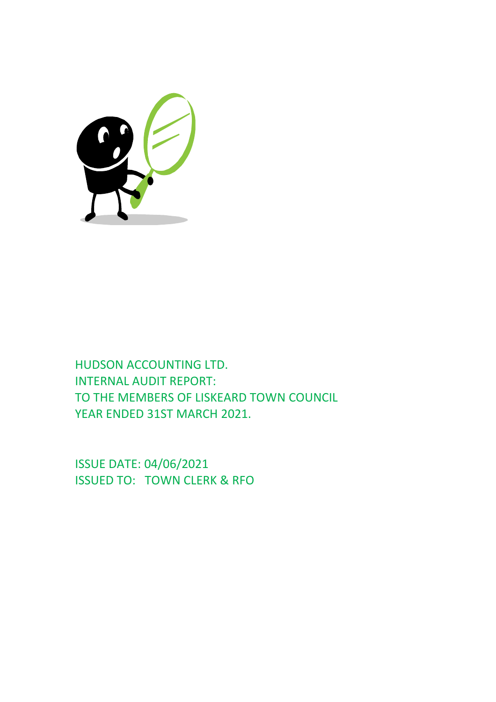

HUDSON ACCOUNTING LTD. INTERNAL AUDIT REPORT: TO THE MEMBERS OF LISKEARD TOWN COUNCIL YEAR ENDED 31ST MARCH 2021.

ISSUE DATE: 04/06/2021 ISSUED TO: TOWN CLERK & RFO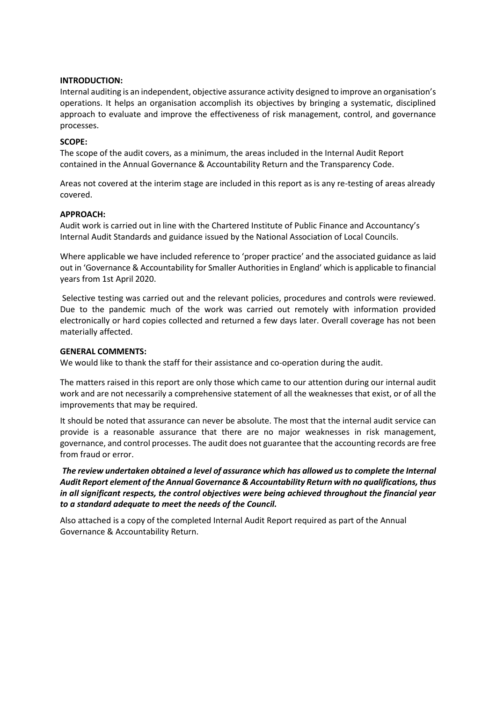# **INTRODUCTION:**

Internal auditing is an independent, objective assurance activity designed to improve an organisation's operations. It helps an organisation accomplish its objectives by bringing a systematic, disciplined approach to evaluate and improve the effectiveness of risk management, control, and governance processes.

# **SCOPE:**

The scope of the audit covers, as a minimum, the areas included in the Internal Audit Report contained in the Annual Governance & Accountability Return and the Transparency Code.

Areas not covered at the interim stage are included in this report as is any re-testing of areas already covered.

# **APPROACH:**

Audit work is carried out in line with the Chartered Institute of Public Finance and Accountancy's Internal Audit Standards and guidance issued by the National Association of Local Councils.

Where applicable we have included reference to 'proper practice' and the associated guidance as laid out in 'Governance & Accountability for Smaller Authorities in England' which is applicable to financial years from 1st April 2020.

Selective testing was carried out and the relevant policies, procedures and controls were reviewed. Due to the pandemic much of the work was carried out remotely with information provided electronically or hard copies collected and returned a few days later. Overall coverage has not been materially affected.

# **GENERAL COMMENTS:**

We would like to thank the staff for their assistance and co-operation during the audit.

The matters raised in this report are only those which came to our attention during our internal audit work and are not necessarily a comprehensive statement of all the weaknesses that exist, or of all the improvements that may be required.

It should be noted that assurance can never be absolute. The most that the internal audit service can provide is a reasonable assurance that there are no major weaknesses in risk management, governance, and control processes. The audit does not guarantee that the accounting records are free from fraud or error.

*The review undertaken obtained a level of assurance which has allowed us to complete the Internal Audit Report element of the Annual Governance & Accountability Return with no qualifications, thus in all significant respects, the control objectives were being achieved throughout the financial year to a standard adequate to meet the needs of the Council.*

Also attached is a copy of the completed Internal Audit Report required as part of the Annual Governance & Accountability Return.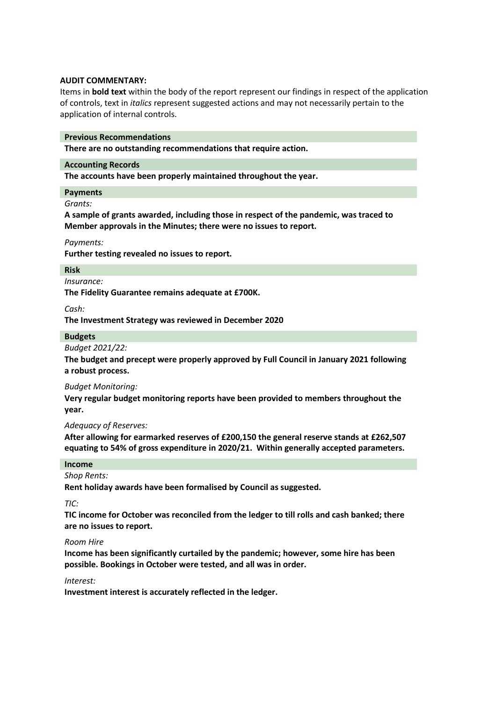# **AUDIT COMMENTARY:**

Items in **bold text** within the body of the report represent our findings in respect of the application of controls, text in *italics* represent suggested actions and may not necessarily pertain to the application of internal controls.

#### **Previous Recommendations**

**There are no outstanding recommendations that require action.**

# **Accounting Records**

**The accounts have been properly maintained throughout the year.**

#### **Payments**

*Grants:*

**A sample of grants awarded, including those in respect of the pandemic, was traced to Member approvals in the Minutes; there were no issues to report.**

*Payments:*

**Further testing revealed no issues to report.**

#### **Risk**

*Insurance:*

**The Fidelity Guarantee remains adequate at £700K.**

*Cash:*

**The Investment Strategy was reviewed in December 2020**

#### **Budgets**

*Budget 2021/22:*

**The budget and precept were properly approved by Full Council in January 2021 following a robust process.**

# *Budget Monitoring:*

**Very regular budget monitoring reports have been provided to members throughout the year.**

# *Adequacy of Reserves:*

**After allowing for earmarked reserves of £200,150 the general reserve stands at £262,507 equating to 54% of gross expenditure in 2020/21. Within generally accepted parameters.**

#### **Income**

# *Shop Rents:*

**Rent holiday awards have been formalised by Council as suggested.**

*TIC:*

**TIC income for October was reconciled from the ledger to till rolls and cash banked; there are no issues to report.**

#### *Room Hire*

**Income has been significantly curtailed by the pandemic; however, some hire has been possible. Bookings in October were tested, and all was in order.**

#### *Interest:*

**Investment interest is accurately reflected in the ledger.**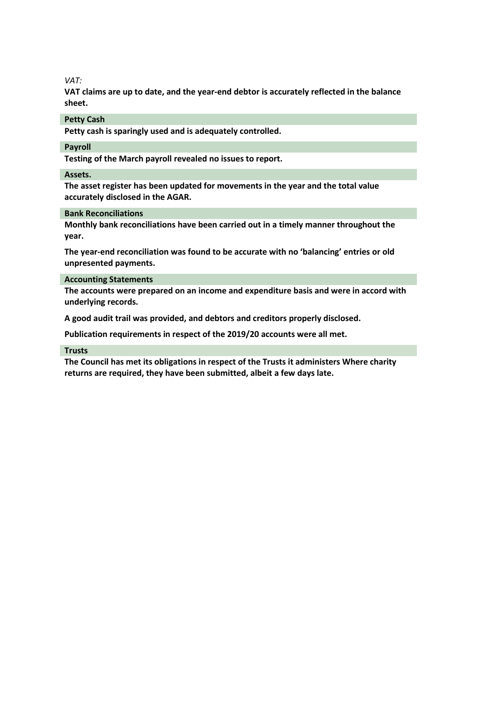# *VAT:*

**VAT claims are up to date, and the year-end debtor is accurately reflected in the balance sheet.**

#### **Petty Cash**

**Petty cash is sparingly used and is adequately controlled.**

# **Payroll**

**Testing of the March payroll revealed no issues to report.**

#### **Assets.**

**The asset register has been updated for movements in the year and the total value accurately disclosed in the AGAR.**

# **Bank Reconciliations**

**Monthly bank reconciliations have been carried out in a timely manner throughout the year.**

**The year-end reconciliation was found to be accurate with no 'balancing' entries or old unpresented payments.**

# **Accounting Statements**

**The accounts were prepared on an income and expenditure basis and were in accord with underlying records.**

**A good audit trail was provided, and debtors and creditors properly disclosed.**

**Publication requirements in respect of the 2019/20 accounts were all met.**

#### **Trusts**

**The Council has met its obligations in respect of the Trusts it administers Where charity returns are required, they have been submitted, albeit a few days late.**